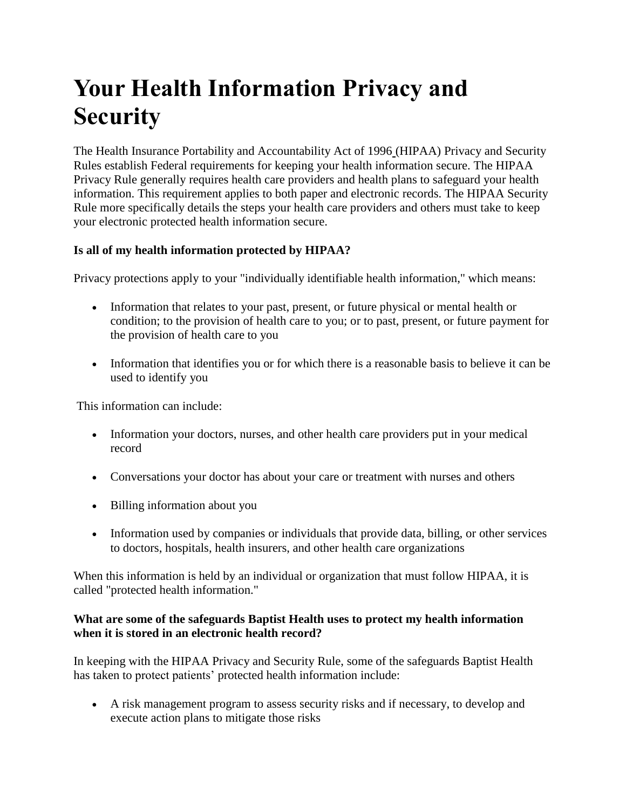# **Your Health Information Privacy and Security**

The Health Insurance Portability and Accountability Act of 1996 (HIPAA) Privacy and Security Rules establish Federal requirements for keeping your health information secure. The HIPAA Privacy Rule generally requires health care providers and health plans to safeguard your health information. This requirement applies to both paper and electronic records. The HIPAA Security Rule more specifically details the steps your health care providers and others must take to keep your electronic protected health information secure.

## **Is all of my health information protected by HIPAA?**

Privacy protections apply to your "individually identifiable health information," which means:

- Information that relates to your past, present, or future physical or mental health or condition; to the provision of health care to you; or to past, present, or future payment for the provision of health care to you
- Information that identifies you or for which there is a reasonable basis to believe it can be used to identify you

This information can include:

- Information your doctors, nurses, and other health care providers put in your medical record
- Conversations your doctor has about your care or treatment with nurses and others
- Billing information about you
- Information used by companies or individuals that provide data, billing, or other services to doctors, hospitals, health insurers, and other health care organizations

When this information is held by an individual or organization that must follow HIPAA, it is called "protected health information."

#### **What are some of the safeguards Baptist Health uses to protect my health information when it is stored in an electronic health record?**

In keeping with the HIPAA Privacy and Security Rule, some of the safeguards Baptist Health has taken to protect patients' protected health information include:

 A risk management program to assess security risks and if necessary, to develop and execute action plans to mitigate those risks